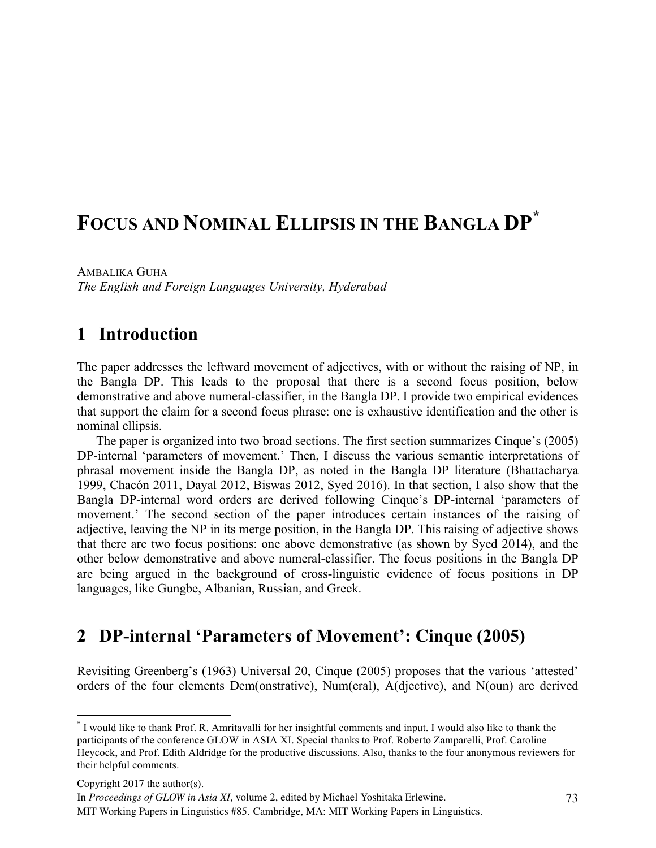# **FOCUS AND NOMINAL ELLIPSIS IN THE BANGLA DP\***

AMBALIKA GUHA *The English and Foreign Languages University, Hyderabad*

## **1** Introduction

The paper addresses the leftward movement of adjectives, with or without the raising of NP, in the Bangla DP. This leads to the proposal that there is a second focus position, below demonstrative and above numeral-classifier, in the Bangla DP. I provide two empirical evidences that support the claim for a second focus phrase: one is exhaustive identification and the other is nominal ellipsis.

The paper is organized into two broad sections. The first section summarizes Cinque's (2005) DP-internal 'parameters of movement.' Then, I discuss the various semantic interpretations of phrasal movement inside the Bangla DP, as noted in the Bangla DP literature (Bhattacharya 1999, Chacón 2011, Dayal 2012, Biswas 2012, Syed 2016). In that section, I also show that the Bangla DP-internal word orders are derived following Cinque's DP-internal 'parameters of movement.' The second section of the paper introduces certain instances of the raising of adjective, leaving the NP in its merge position, in the Bangla DP. This raising of adjective shows that there are two focus positions: one above demonstrative (as shown by Syed 2014), and the other below demonstrative and above numeral-classifier. The focus positions in the Bangla DP are being argued in the background of cross-linguistic evidence of focus positions in DP languages, like Gungbe, Albanian, Russian, and Greek.

# **2**xx**DP-internal 'Parameters of Movement': Cinque (2005)**

Revisiting Greenberg's (1963) Universal 20, Cinque (2005) proposes that the various 'attested' orders of the four elements Dem(onstrative), Num(eral), A(djective), and N(oun) are derived

Copyright 2017 the author(s).

In *Proceedings of GLOW in Asia XI*, volume 2, edited by Michael Yoshitaka Erlewine.

MIT Working Papers in Linguistics #85. Cambridge, MA: MIT Working Papers in Linguistics.

 <sup>\*</sup> I would like to thank Prof. R. Amritavalli for her insightful comments and input. I would also like to thank the participants of the conference GLOW in ASIA XI. Special thanks to Prof. Roberto Zamparelli, Prof. Caroline Heycock, and Prof. Edith Aldridge for the productive discussions. Also, thanks to the four anonymous reviewers for their helpful comments.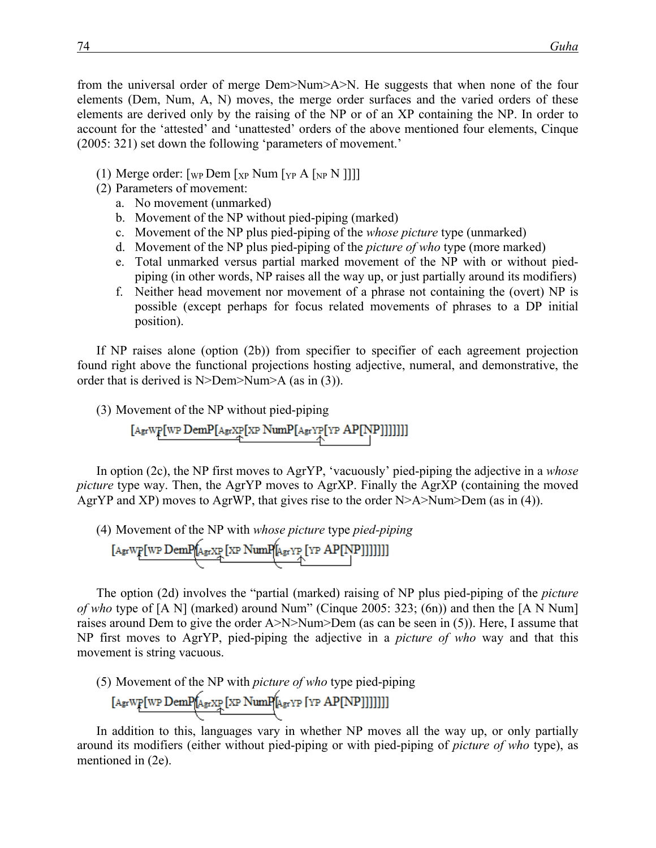from the universal order of merge Dem>Num>A>N. He suggests that when none of the four elements (Dem, Num, A, N) moves, the merge order surfaces and the varied orders of these elements are derived only by the raising of the NP or of an XP containing the NP. In order to account for the 'attested' and 'unattested' orders of the above mentioned four elements, Cinque (2005: 321) set down the following 'parameters of movement.'

- (1) Merge order:  $\lceil_{WP}$  Dem  $\lceil_{XP}$  Num  $\lceil_{YP}$  A  $\lceil_{NP}$  N  $\rceil$ ]]]
- (2) Parameters of movement:
	- a. No movement (unmarked)
	- b. Movement of the NP without pied-piping (marked)
	- c. Movement of the NP plus pied-piping of the *whose picture* type (unmarked)
	- d. Movement of the NP plus pied-piping of the *picture of who* type (more marked)
	- e. Total unmarked versus partial marked movement of the NP with or without piedpiping (in other words, NP raises all the way up, or just partially around its modifiers)
	- f. Neither head movement nor movement of a phrase not containing the (overt) NP is possible (except perhaps for focus related movements of phrases to a DP initial position).

If NP raises alone (option (2b)) from specifier to specifier of each agreement projection found right above the functional projections hosting adjective, numeral, and demonstrative, the order that is derived is N>Dem>Num>A (as in (3)).

(3) Movement of the NP without pied-piping

 $\underbrace{[\mathop{\rm Agrwp}[\mathop{\rm WP}\nolimits{\rm Dem}P[\mathop{\rm Agrxp}[\mathop{\rm XP}\nolimits{\rm Num}P[\mathop{\rm Agryp}[\mathop{\rm YP}\nolimits{\rm AP}[\mathop{\rm NP}]]]]]]]}_{\textcolor{red}{\textbf{A}}}$ 

In option (2c), the NP first moves to AgrYP, 'vacuously' pied-piping the adjective in a *whose picture* type way. Then, the AgrYP moves to AgrXP. Finally the AgrXP (containing the moved AgrYP and XP) moves to AgrWP, that gives rise to the order N>A>Num>Dem (as in (4)).

(4) Movement of the NP with *whose picture* type *pied-piping*<br>[AgrWP DemP[AgrXP [XP NumP[AgrYP [YP AP[NP]]]]]]]]

The option (2d) involves the "partial (marked) raising of NP plus pied-piping of the *picture of who* type of [A N] (marked) around Num" (Cinque 2005: 323; (6n)) and then the [A N Num] raises around Dem to give the order A>N>Num>Dem (as can be seen in (5)). Here, I assume that NP first moves to AgrYP, pied-piping the adjective in a *picture of who* way and that this movement is string vacuous.

(5) Movement of the NP with *picture of who* type pied-piping  $[AgrWpDemP[AgrYp[XP\text{NumP}[AgrYp[YP\text{APP}]]]]]]$ 

In addition to this, languages vary in whether NP moves all the way up, or only partially around its modifiers (either without pied-piping or with pied-piping of *picture of who* type), as mentioned in (2e).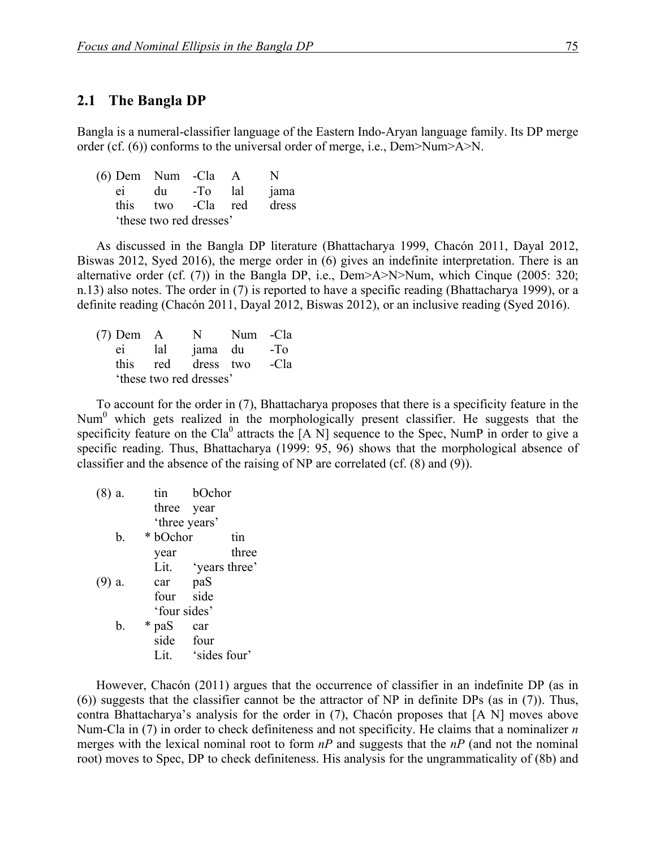#### **2.1 The Bangla DP**

Bangla is a numeral-classifier language of the Eastern Indo-Aryan language family. Its DP merge order (cf. (6)) conforms to the universal order of merge, i.e., Dem>Num>A>N.

| (6) Dem Num -Cla        |                   |       | $\mathsf{A}$ | N     |  |  |  |  |
|-------------------------|-------------------|-------|--------------|-------|--|--|--|--|
| ei                      | du                | $-TO$ | lal          | jama  |  |  |  |  |
|                         | this two -Cla red |       |              | dress |  |  |  |  |
| 'these two red dresses' |                   |       |              |       |  |  |  |  |

As discussed in the Bangla DP literature (Bhattacharya 1999, Chacón 2011, Dayal 2012, Biswas 2012, Syed 2016), the merge order in (6) gives an indefinite interpretation. There is an alternative order (cf. (7)) in the Bangla DP, i.e., Dem>A>N>Num, which Cinque (2005: 320; n.13) also notes. The order in (7) is reported to have a specific reading (Bhattacharya 1999), or a definite reading (Chacón 2011, Dayal 2012, Biswas 2012), or an inclusive reading (Syed 2016).

| $(7)$ Dem A |     | N.                      | Num -Cla |       |
|-------------|-----|-------------------------|----------|-------|
| ei          | lal |                         | jama du  | $-TO$ |
|             |     | this red dress two      |          | -Cla  |
|             |     | 'these two red dresses' |          |       |

To account for the order in (7), Bhattacharya proposes that there is a specificity feature in the Num<sup>0</sup> which gets realized in the morphologically present classifier. He suggests that the specificity feature on the Cla<sup>0</sup> attracts the [A N] sequence to the Spec, NumP in order to give a specific reading. Thus, Bhattacharya (1999: 95, 96) shows that the morphological absence of classifier and the absence of the raising of NP are correlated (cf. (8) and (9)).

| $(8)$ a. |    |               | tin bOchor        |
|----------|----|---------------|-------------------|
|          |    | three year    |                   |
|          |    | 'three years' |                   |
|          | b. | * bOchor      | tin               |
|          |    | year          | three             |
|          |    | Lit.          | 'years three'     |
| $(9)$ a. |    | car           | paS               |
|          |    | four side     |                   |
|          |    | 'four sides'  |                   |
|          | b. | * paS         | car               |
|          |    | side four     |                   |
|          |    |               | Lit. 'sides four' |

However, Chacón (2011) argues that the occurrence of classifier in an indefinite DP (as in (6)) suggests that the classifier cannot be the attractor of NP in definite DPs (as in (7)). Thus, contra Bhattacharya's analysis for the order in (7), Chacón proposes that [A N] moves above Num-Cla in (7) in order to check definiteness and not specificity. He claims that a nominalizer *n* merges with the lexical nominal root to form *nP* and suggests that the *nP* (and not the nominal root) moves to Spec, DP to check definiteness. His analysis for the ungrammaticality of (8b) and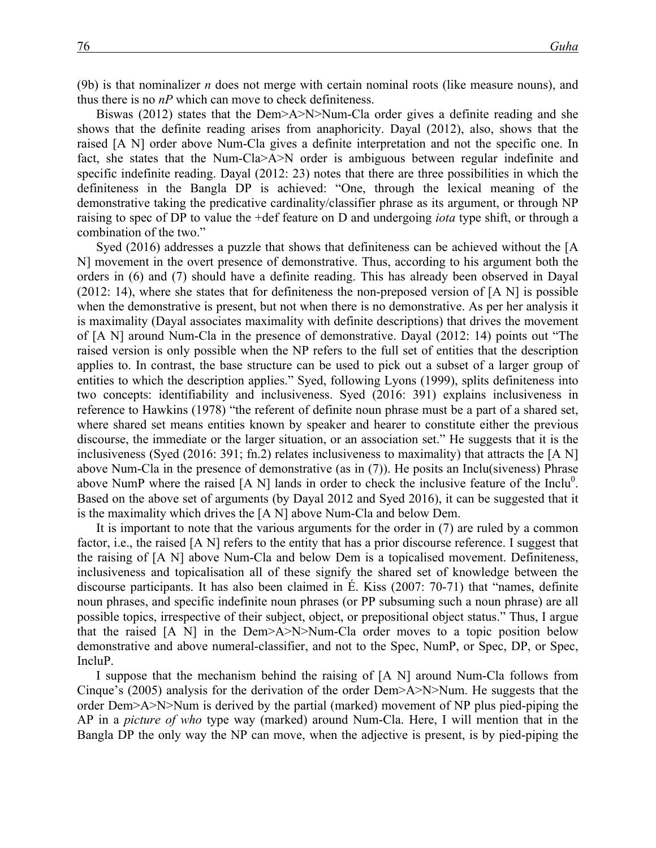(9b) is that nominalizer *n* does not merge with certain nominal roots (like measure nouns), and thus there is no *nP* which can move to check definiteness.

Biswas (2012) states that the Dem>A>N>Num-Cla order gives a definite reading and she shows that the definite reading arises from anaphoricity. Dayal (2012), also, shows that the raised [A N] order above Num-Cla gives a definite interpretation and not the specific one. In fact, she states that the Num-Cla>A>N order is ambiguous between regular indefinite and specific indefinite reading. Dayal (2012: 23) notes that there are three possibilities in which the definiteness in the Bangla DP is achieved: "One, through the lexical meaning of the demonstrative taking the predicative cardinality/classifier phrase as its argument, or through NP raising to spec of DP to value the +def feature on D and undergoing *iota* type shift, or through a combination of the two."

Syed (2016) addresses a puzzle that shows that definiteness can be achieved without the [A N] movement in the overt presence of demonstrative. Thus, according to his argument both the orders in (6) and (7) should have a definite reading. This has already been observed in Dayal  $(2012: 14)$ , where she states that for definiteness the non-preposed version of [A N] is possible when the demonstrative is present, but not when there is no demonstrative. As per her analysis it is maximality (Dayal associates maximality with definite descriptions) that drives the movement of [A N] around Num-Cla in the presence of demonstrative. Dayal (2012: 14) points out "The raised version is only possible when the NP refers to the full set of entities that the description applies to. In contrast, the base structure can be used to pick out a subset of a larger group of entities to which the description applies." Syed, following Lyons (1999), splits definiteness into two concepts: identifiability and inclusiveness. Syed (2016: 391) explains inclusiveness in reference to Hawkins (1978) "the referent of definite noun phrase must be a part of a shared set, where shared set means entities known by speaker and hearer to constitute either the previous discourse, the immediate or the larger situation, or an association set." He suggests that it is the inclusiveness (Syed (2016: 391; fn.2) relates inclusiveness to maximality) that attracts the [A N] above Num-Cla in the presence of demonstrative (as in (7)). He posits an Inclu(siveness) Phrase above NumP where the raised  $[A \ N]$  lands in order to check the inclusive feature of the Inclu<sup>0</sup>. Based on the above set of arguments (by Dayal 2012 and Syed 2016), it can be suggested that it is the maximality which drives the [A N] above Num-Cla and below Dem.

It is important to note that the various arguments for the order in (7) are ruled by a common factor, i.e., the raised [A N] refers to the entity that has a prior discourse reference. I suggest that the raising of [A N] above Num-Cla and below Dem is a topicalised movement. Definiteness, inclusiveness and topicalisation all of these signify the shared set of knowledge between the discourse participants. It has also been claimed in É. Kiss (2007: 70-71) that "names, definite noun phrases, and specific indefinite noun phrases (or PP subsuming such a noun phrase) are all possible topics, irrespective of their subject, object, or prepositional object status." Thus, I argue that the raised [A N] in the Dem>A>N>Num-Cla order moves to a topic position below demonstrative and above numeral-classifier, and not to the Spec, NumP, or Spec, DP, or Spec, IncluP.

I suppose that the mechanism behind the raising of [A N] around Num-Cla follows from Cinque's (2005) analysis for the derivation of the order Dem>A>N>Num. He suggests that the order Dem>A>N>Num is derived by the partial (marked) movement of NP plus pied-piping the AP in a *picture of who* type way (marked) around Num-Cla. Here, I will mention that in the Bangla DP the only way the NP can move, when the adjective is present, is by pied-piping the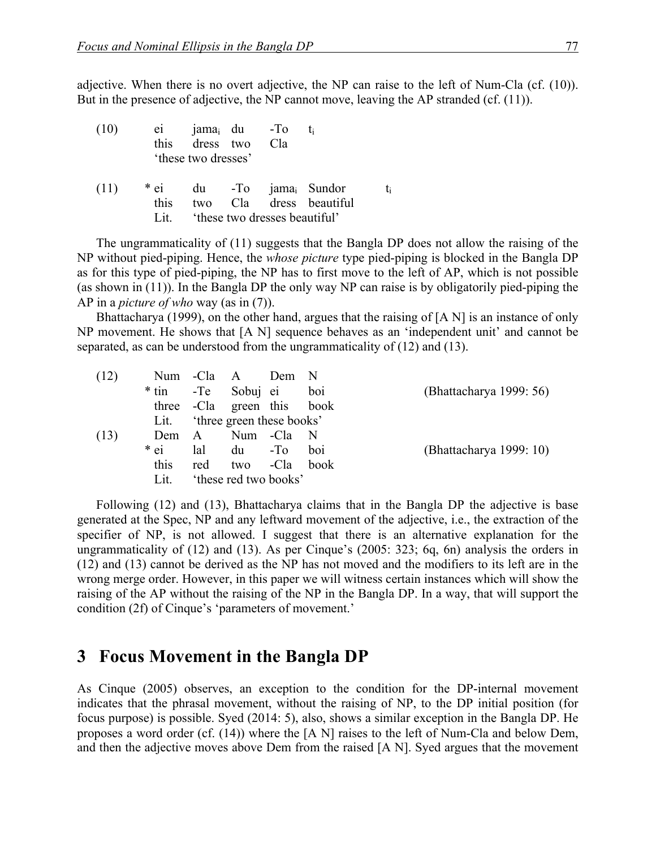adjective. When there is no overt adjective, the NP can raise to the left of Num-Cla (cf. (10)). But in the presence of adjective, the NP cannot move, leaving the AP stranded (cf. (11)).

| (10) | e <sub>1</sub> | jama <sub>i</sub> du -To |                              |                                 |    |
|------|----------------|--------------------------|------------------------------|---------------------------------|----|
|      |                | this dress two           | - Cla                        |                                 |    |
|      |                | 'these two dresses'      |                              |                                 |    |
| (11) | $*$ ei         |                          |                              | du -To jama <sub>i</sub> Sundor | t: |
|      | this           |                          |                              | two Cla dress beautiful         |    |
|      | Lut -          |                          | these two dresses beautiful' |                                 |    |

The ungrammaticality of (11) suggests that the Bangla DP does not allow the raising of the NP without pied-piping. Hence, the *whose picture* type pied-piping is blocked in the Bangla DP as for this type of pied-piping, the NP has to first move to the left of AP, which is not possible (as shown in (11)). In the Bangla DP the only way NP can raise is by obligatorily pied-piping the AP in a *picture of who* way (as in (7)).

Bhattacharya (1999), on the other hand, argues that the raising of [A N] is an instance of only NP movement. He shows that [A N] sequence behaves as an 'independent unit' and cannot be separated, as can be understood from the ungrammaticality of (12) and (13).

| (12) |                     | Num $-Cla$ A |                           | Dem           | - N             |                         |
|------|---------------------|--------------|---------------------------|---------------|-----------------|-------------------------|
|      | * tin - Te Sobuj ei |              |                           |               | boi             | (Bhattacharya 1999: 56) |
|      |                     |              | three -Cla green this     |               | book            |                         |
|      | $L_{1}t$ .          |              | 'three green these books' |               |                 |                         |
| (13) | Dem                 | A            | Num -Cla                  |               | - N             |                         |
|      | * ei                | lal          | $du$ -To                  |               | b <sub>01</sub> | (Bhattacharya 1999: 10) |
|      | this                | red          |                           | two -Cla book |                 |                         |
|      | Lit.                |              | 'these red two books'     |               |                 |                         |

Following (12) and (13), Bhattacharya claims that in the Bangla DP the adjective is base generated at the Spec, NP and any leftward movement of the adjective, i.e., the extraction of the specifier of NP, is not allowed. I suggest that there is an alternative explanation for the ungrammaticality of (12) and (13). As per Cinque's (2005: 323; 6q, 6n) analysis the orders in (12) and (13) cannot be derived as the NP has not moved and the modifiers to its left are in the wrong merge order. However, in this paper we will witness certain instances which will show the raising of the AP without the raising of the NP in the Bangla DP. In a way, that will support the condition (2f) of Cinque's 'parameters of movement.'

### **3** Focus Movement in the Bangla DP

As Cinque (2005) observes, an exception to the condition for the DP-internal movement indicates that the phrasal movement, without the raising of NP, to the DP initial position (for focus purpose) is possible. Syed (2014: 5), also, shows a similar exception in the Bangla DP. He proposes a word order (cf. (14)) where the [A N] raises to the left of Num-Cla and below Dem, and then the adjective moves above Dem from the raised [A N]. Syed argues that the movement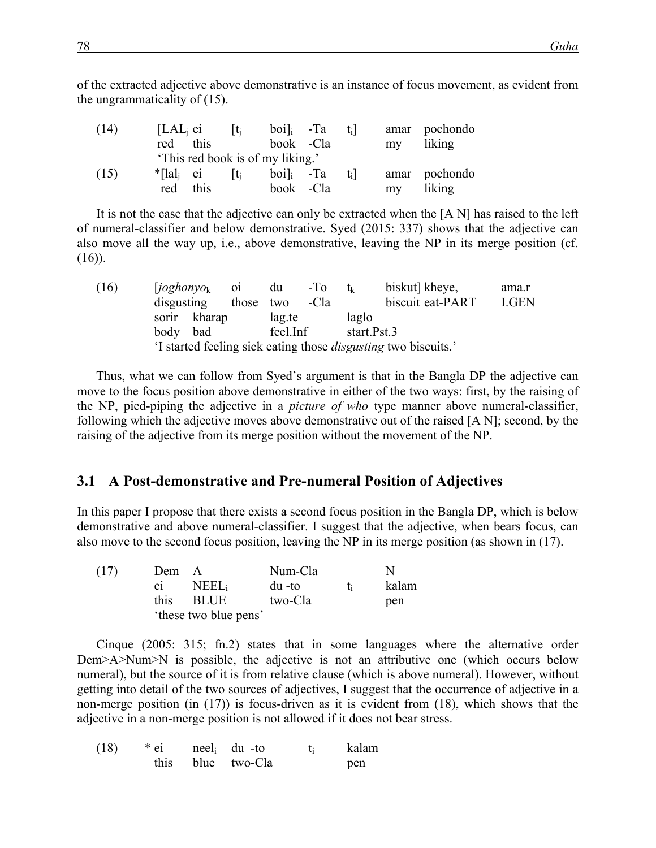of the extracted adjective above demonstrative is an instance of focus movement, as evident from the ungrammaticality of (15).

| (14) | [LAL <sub>i</sub> ei  | <u>Iti</u>          | $boi]_i$ -Ta                     | t: l |    | amar pochondo |
|------|-----------------------|---------------------|----------------------------------|------|----|---------------|
|      | red this              |                     | book -Cla                        |      | my | liking        |
|      |                       |                     | 'This red book is of my liking.' |      |    |               |
| (15) | *[lal <sub>i</sub> ei | $\lceil t_i \rceil$ | boi]; -Ta                        | t: I |    | amar pochondo |
|      | red<br>this           |                     | book -Cla                        |      | my | liking        |

It is not the case that the adjective can only be extracted when the [A N] has raised to the left of numeral-classifier and below demonstrative. Syed (2015: 337) shows that the adjective can also move all the way up, i.e., above demonstrative, leaving the NP in its merge position (cf. (16)).

| (16) | [loghonyo <sub>k</sub> ] | <b>O1</b> | du       | $-TO$ | $t_{\nu}$   | biskut] kheye.                                                        | ama.r       |  |
|------|--------------------------|-----------|----------|-------|-------------|-----------------------------------------------------------------------|-------------|--|
|      | disgusting               | those two |          | -Cla  |             | biscuit eat-PART                                                      | <b>LGEN</b> |  |
|      | kharap<br>sorir          |           | lag.te   |       | laglo       |                                                                       |             |  |
|      | body<br>bad              |           | feel.Inf |       | start.Pst.3 |                                                                       |             |  |
|      |                          |           |          |       |             | 'I started feeling sick eating those <i>disgusting</i> two biscuits.' |             |  |

Thus, what we can follow from Syed's argument is that in the Bangla DP the adjective can move to the focus position above demonstrative in either of the two ways: first, by the raising of the NP, pied-piping the adjective in a *picture of who* type manner above numeral-classifier, following which the adjective moves above demonstrative out of the raised [A N]; second, by the raising of the adjective from its merge position without the movement of the NP.

#### **3.1** A Post-demonstrative and Pre-numeral Position of Adjectives

In this paper I propose that there exists a second focus position in the Bangla DP, which is below demonstrative and above numeral-classifier. I suggest that the adjective, when bears focus, can also move to the second focus position, leaving the NP in its merge position (as shown in (17).

| (17) | Dem A          |                       | Num-Cla |    |       |
|------|----------------|-----------------------|---------|----|-------|
|      | e <sub>1</sub> | <b>NEEL</b>           | du -to  | Ť÷ | kalam |
|      | this           | - BLUE                | two-Cla |    | pen   |
|      |                | 'these two blue pens' |         |    |       |

Cinque (2005: 315; fn.2) states that in some languages where the alternative order Dem>A>Num>N is possible, the adjective is not an attributive one (which occurs below numeral), but the source of it is from relative clause (which is above numeral). However, without getting into detail of the two sources of adjectives, I suggest that the occurrence of adjective in a non-merge position (in (17)) is focus-driven as it is evident from (18), which shows that the adjective in a non-merge position is not allowed if it does not bear stress.

| (18) | $*$ ei | neel <sub>i</sub> du -to | kalam |
|------|--------|--------------------------|-------|
|      |        | this blue two-Cla        | pen   |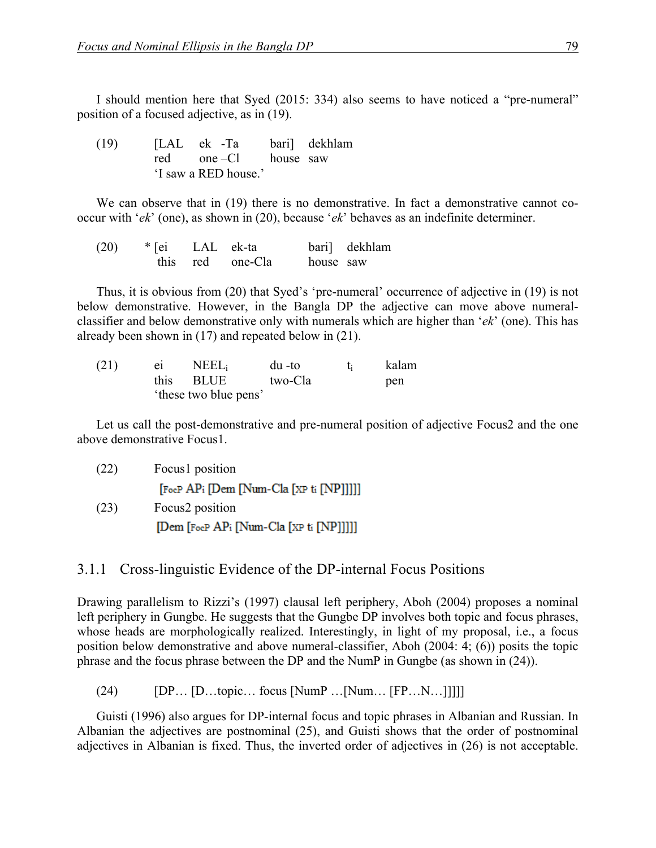I should mention here that Syed (2015: 334) also seems to have noticed a "pre-numeral" position of a focused adjective, as in (19).

| (19) | [LAL ek -Ta bari] dekhlam |  |
|------|---------------------------|--|
|      | red one -Cl house saw     |  |
|      | 'I saw a RED house.'      |  |

We can observe that in (19) there is no demonstrative. In fact a demonstrative cannot cooccur with '*ek*' (one), as shown in (20), because '*ek*' behaves as an indefinite determiner.

| (20) | * [ei LAL ek-ta |                  |           | bari] dekhlam |
|------|-----------------|------------------|-----------|---------------|
|      |                 | this red one-Cla | house saw |               |

Thus, it is obvious from (20) that Syed's 'pre-numeral' occurrence of adjective in (19) is not below demonstrative. However, in the Bangla DP the adjective can move above numeralclassifier and below demonstrative only with numerals which are higher than '*ek*' (one). This has already been shown in (17) and repeated below in (21).

| (21) | e <sub>1</sub> | <b>NEEL</b>           | du -to  | kalam |
|------|----------------|-----------------------|---------|-------|
|      |                | this BLUE             | two-Cla | pen   |
|      |                | 'these two blue pens' |         |       |

Let us call the post-demonstrative and pre-numeral position of adjective Focus2 and the one above demonstrative Focus1.

| (22) | Focus1 position                         |
|------|-----------------------------------------|
|      | [FocP APi [Dem [Num-Cla [XP ti [NP]]]]] |
| (23) | Focus2 position                         |
|      | [Dem [FocP APi [Num-Cla [XP ti [NP]]]]] |

#### 3.1.1 Cross-linguistic Evidence of the DP-internal Focus Positions

Drawing parallelism to Rizzi's (1997) clausal left periphery, Aboh (2004) proposes a nominal left periphery in Gungbe. He suggests that the Gungbe DP involves both topic and focus phrases, whose heads are morphologically realized. Interestingly, in light of my proposal, i.e., a focus position below demonstrative and above numeral-classifier, Aboh (2004: 4; (6)) posits the topic phrase and the focus phrase between the DP and the NumP in Gungbe (as shown in (24)).

 $(24)$  [DP… [D…topic… focus [NumP …[Num... [FP…N…]]]]]

Guisti (1996) also argues for DP-internal focus and topic phrases in Albanian and Russian. In Albanian the adjectives are postnominal (25), and Guisti shows that the order of postnominal adjectives in Albanian is fixed. Thus, the inverted order of adjectives in (26) is not acceptable.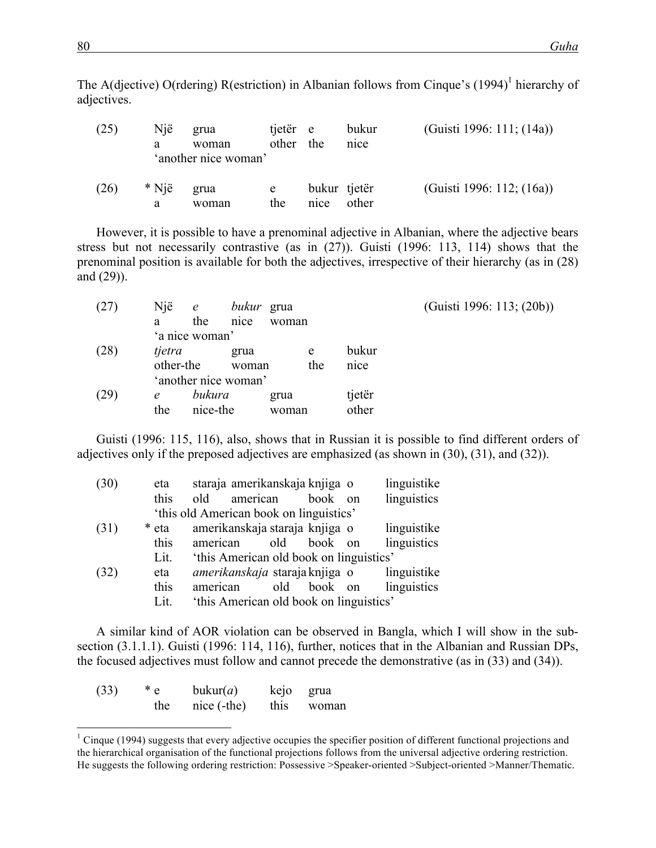The A(djective) O(rdering) R(estriction) in Albanian follows from Cinque's (1994)<sup>1</sup> hierarchy of adjectives.

| (25) | Një<br>a   | grua<br>woman        | tjetër e<br>other | the                  | bukur<br>nice | (Guisti 1996: 111; $(14a)$ ) |
|------|------------|----------------------|-------------------|----------------------|---------------|------------------------------|
|      |            | 'another nice woman' |                   |                      |               |                              |
| (26) | * Një<br>a | grua<br>woman        | e<br>the          | bukur tjetër<br>nice | other         | (Guisti 1996: 112; $(16a)$ ) |

However, it is possible to have a prenominal adjective in Albanian, where the adjective bears stress but not necessarily contrastive (as in (27)). Guisti (1996: 113, 114) shows that the prenominal position is available for both the adjectives, irrespective of their hierarchy (as in (28) and (29)).

| (27) | Një       | e                    | <i>bukur</i> grua |       |     |        | (Guisti 1996: 113; (20b)) |
|------|-----------|----------------------|-------------------|-------|-----|--------|---------------------------|
|      | a         | the                  | nice              | woman |     |        |                           |
|      |           | 'a nice woman'       |                   |       |     |        |                           |
| (28) | tjetra    |                      | grua              |       | e   | bukur  |                           |
|      | other-the |                      | woman             |       | the | nice   |                           |
|      |           | 'another nice woman' |                   |       |     |        |                           |
| (29) | e         | bukura               |                   | grua  |     | tjetër |                           |
|      | the       | nice-the             |                   | woman |     | other  |                           |

Guisti (1996: 115, 116), also, shows that in Russian it is possible to find different orders of adjectives only if the preposed adjectives are emphasized (as shown in (30), (31), and (32)).

| (30) | eta   | staraja amerikanskaja knjiga o          |          |         |    | linguistike |
|------|-------|-----------------------------------------|----------|---------|----|-------------|
|      | this  | old                                     | american | book    | on | linguistics |
|      |       | 'this old American book on linguistics' |          |         |    |             |
| (31) | * eta | amerikanskaja staraja knjiga o          |          |         |    | linguistike |
|      | this  | american                                | old      | book on |    | linguistics |
|      | Lit.  | 'this American old book on linguistics' |          |         |    |             |
| (32) | eta   | <i>amerikanskaja</i> staraja knjiga o   |          |         |    | linguistike |
|      | this  | american                                | old      | book on |    | linguistics |
|      | Lit.  | 'this American old book on linguistics' |          |         |    |             |

A similar kind of AOR violation can be observed in Bangla, which I will show in the subsection (3.1.1.1). Guisti (1996: 114, 116), further, notices that in the Albanian and Russian DPs, the focused adjectives must follow and cannot precede the demonstrative (as in (33) and (34)).

| (33) | * e | bukur(a)     | kejo | grua  |
|------|-----|--------------|------|-------|
|      | the | $nice(-the)$ | this | woman |

 $1 \text{ Cingue}$  (1994) suggests that every adjective occupies the specifier position of different functional projections and the hierarchical organisation of the functional projections follows from the universal adjective ordering restriction. He suggests the following ordering restriction: Possessive >Speaker-oriented >Subject-oriented >Manner/Thematic.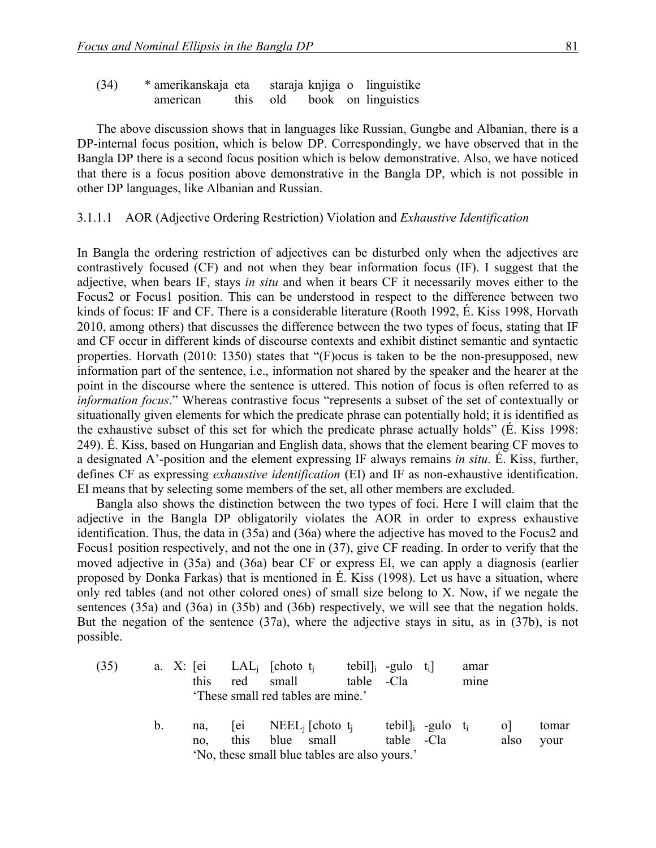| (34) | * amerikanskaja eta |  |  | staraja knjiga o linguistike |
|------|---------------------|--|--|------------------------------|
|      | american            |  |  | this old book on linguistics |

The above discussion shows that in languages like Russian, Gungbe and Albanian, there is a DP-internal focus position, which is below DP. Correspondingly, we have observed that in the Bangla DP there is a second focus position which is below demonstrative. Also, we have noticed that there is a focus position above demonstrative in the Bangla DP, which is not possible in other DP languages, like Albanian and Russian.

#### 3.1.1.1 AOR (Adjective Ordering Restriction) Violation and *Exhaustive Identification*

In Bangla the ordering restriction of adjectives can be disturbed only when the adjectives are contrastively focused (CF) and not when they bear information focus (IF). I suggest that the adjective, when bears IF, stays *in situ* and when it bears CF it necessarily moves either to the Focus2 or Focus1 position. This can be understood in respect to the difference between two kinds of focus: IF and CF. There is a considerable literature (Rooth 1992, É. Kiss 1998, Horvath 2010, among others) that discusses the difference between the two types of focus, stating that IF and CF occur in different kinds of discourse contexts and exhibit distinct semantic and syntactic properties. Horvath (2010: 1350) states that "(F)ocus is taken to be the non-presupposed, new information part of the sentence, i.e., information not shared by the speaker and the hearer at the point in the discourse where the sentence is uttered. This notion of focus is often referred to as *information focus*." Whereas contrastive focus "represents a subset of the set of contextually or situationally given elements for which the predicate phrase can potentially hold; it is identified as the exhaustive subset of this set for which the predicate phrase actually holds" (É. Kiss 1998: 249). É. Kiss, based on Hungarian and English data, shows that the element bearing CF moves to a designated A'-position and the element expressing IF always remains *in situ*. É. Kiss, further, defines CF as expressing *exhaustive identification* (EI) and IF as non-exhaustive identification. EI means that by selecting some members of the set, all other members are excluded.

Bangla also shows the distinction between the two types of foci. Here I will claim that the adjective in the Bangla DP obligatorily violates the AOR in order to express exhaustive identification. Thus, the data in (35a) and (36a) where the adjective has moved to the Focus2 and Focus1 position respectively, and not the one in (37), give CF reading. In order to verify that the moved adjective in (35a) and (36a) bear CF or express EI, we can apply a diagnosis (earlier proposed by Donka Farkas) that is mentioned in É. Kiss (1998). Let us have a situation, where only red tables (and not other colored ones) of small size belong to X. Now, if we negate the sentences (35a) and (36a) in (35b) and (36b) respectively, we will see that the negation holds. But the negation of the sentence (37a), where the adjective stays in situ, as in (37b), is not possible.

| (35) |  |  | a. X: [ei LAL <sub>i</sub> [choto t <sub>i</sub> | tebil] $_{i}$ -gulo t <sub>i</sub> ] |  | amar |
|------|--|--|--------------------------------------------------|--------------------------------------|--|------|
|      |  |  | this red small table -Cla                        |                                      |  | mine |
|      |  |  | 'These small red tables are mine.'               |                                      |  |      |

b. na,  $[ei \tNEEL_i [choto t_i \ttebil] i -gulo t_i \tolumar$ no, this blue small table -Cla also your 'No, these small blue tables are also yours.'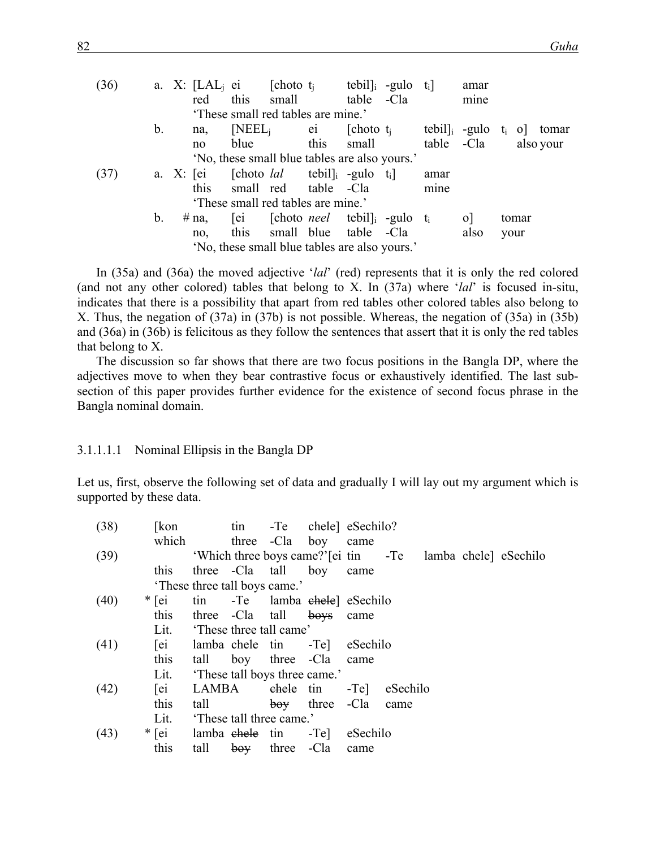| (36) |                | a. X: [LAL <sub>i</sub> ei [choto t <sub>i</sub> tebil] <sub>i</sub> -gulo t <sub>i</sub> ] |      |       |                                               |            |                                                |      | amar           |                                                   |
|------|----------------|---------------------------------------------------------------------------------------------|------|-------|-----------------------------------------------|------------|------------------------------------------------|------|----------------|---------------------------------------------------|
|      |                | red                                                                                         | this | small |                                               | table -Cla |                                                |      | mine           |                                                   |
|      |                |                                                                                             |      |       | These small red tables are mine.              |            |                                                |      |                |                                                   |
|      | $b_{\cdot}$    | na,                                                                                         |      |       | $[NEEL_i$ ei [choto t <sub>i</sub>            |            |                                                |      |                | tebil <sub>li</sub> -gulo t <sub>i</sub> o] tomar |
|      |                | no                                                                                          | blue |       | this                                          | small      |                                                |      | table -Cla     | also your                                         |
|      |                |                                                                                             |      |       | 'No, these small blue tables are also yours.' |            |                                                |      |                |                                                   |
| (37) |                | a. X: [ei [choto <i>lal</i> tebil] $\left  \right $ -gulo t <sub>i</sub> ]                  |      |       |                                               |            |                                                | amar |                |                                                   |
|      |                | this                                                                                        |      |       | small red table -Cla                          |            |                                                | mine |                |                                                   |
|      |                |                                                                                             |      |       | 'These small red tables are mine.'            |            |                                                |      |                |                                                   |
|      | $\mathbf{b}$ . | $#$ na,                                                                                     |      |       |                                               |            | $[ei]$ $[choto]$ $neel$ $tebil]$ $-gulo$ $t_i$ |      | $\overline{O}$ | tomar                                             |
|      |                | no.                                                                                         |      |       | this small blue table -Cla                    |            |                                                |      | also           | your                                              |
|      |                |                                                                                             |      |       | 'No, these small blue tables are also yours.' |            |                                                |      |                |                                                   |
|      |                |                                                                                             |      |       |                                               |            |                                                |      |                |                                                   |

In (35a) and (36a) the moved adjective '*lal*' (red) represents that it is only the red colored (and not any other colored) tables that belong to X. In (37a) where '*lal*' is focused in-situ, indicates that there is a possibility that apart from red tables other colored tables also belong to X. Thus, the negation of (37a) in (37b) is not possible. Whereas, the negation of (35a) in (35b) and (36a) in (36b) is felicitous as they follow the sentences that assert that it is only the red tables that belong to X.

The discussion so far shows that there are two focus positions in the Bangla DP, where the adjectives move to when they bear contrastive focus or exhaustively identified. The last subsection of this paper provides further evidence for the existence of second focus phrase in the Bangla nominal domain.

#### 3.1.1.1.1 Nominal Ellipsis in the Bangla DP

Let us, first, observe the following set of data and gradually I will lay out my argument which is supported by these data.

| (38) | [kon                                 |  | tin -Te chele eSechilo?           |      |          |  |                                                           |
|------|--------------------------------------|--|-----------------------------------|------|----------|--|-----------------------------------------------------------|
|      | which                                |  | three -Cla boy came               |      |          |  |                                                           |
| (39) |                                      |  |                                   |      |          |  | 'Which three boys came?'[ei tin -Te lamba chele] eSechilo |
|      | this                                 |  | three -Cla tall boy came          |      |          |  |                                                           |
|      |                                      |  | 'These three tall boys came.'     |      |          |  |                                                           |
| (40) | $\ast$ [ei                           |  | tin -Te lamba ehele eSechilo      |      |          |  |                                                           |
|      | this                                 |  | three -Cla tall boys              | came |          |  |                                                           |
|      |                                      |  | Lit. These three tall came'       |      |          |  |                                                           |
| (41) |                                      |  | [ei lamba chele tin -Te] eSechilo |      |          |  |                                                           |
|      | this                                 |  | tall boy three -Cla came          |      |          |  |                                                           |
|      | Lit.                                 |  | 'These tall boys three came.'     |      |          |  |                                                           |
| (42) | [ei]                                 |  | LAMBA ehele tin -Te]              |      | eSechilo |  |                                                           |
|      | this                                 |  | tall boy three -Cla               |      | came     |  |                                                           |
|      |                                      |  | Lit. These tall three came.'      |      |          |  |                                                           |
| (43) | * [ei lamba ehele tin - Te] eSechilo |  |                                   |      |          |  |                                                           |
|      | this                                 |  | tall boy three -Cla               | came |          |  |                                                           |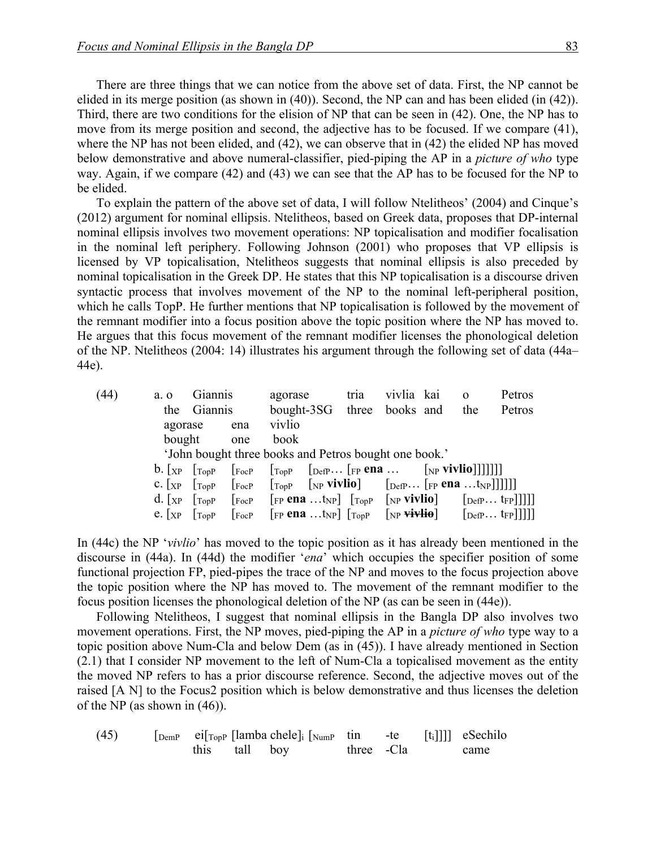There are three things that we can notice from the above set of data. First, the NP cannot be elided in its merge position (as shown in (40)). Second, the NP can and has been elided (in (42)). Third, there are two conditions for the elision of NP that can be seen in (42). One, the NP has to move from its merge position and second, the adjective has to be focused. If we compare (41), where the NP has not been elided, and (42), we can observe that in (42) the elided NP has moved below demonstrative and above numeral-classifier, pied-piping the AP in a *picture of who* type way. Again, if we compare (42) and (43) we can see that the AP has to be focused for the NP to be elided.

To explain the pattern of the above set of data, I will follow Ntelitheos' (2004) and Cinque's (2012) argument for nominal ellipsis. Ntelitheos, based on Greek data, proposes that DP-internal nominal ellipsis involves two movement operations: NP topicalisation and modifier focalisation in the nominal left periphery. Following Johnson (2001) who proposes that VP ellipsis is licensed by VP topicalisation, Ntelitheos suggests that nominal ellipsis is also preceded by nominal topicalisation in the Greek DP. He states that this NP topicalisation is a discourse driven syntactic process that involves movement of the NP to the nominal left-peripheral position, which he calls TopP. He further mentions that NP topicalisation is followed by the movement of the remnant modifier into a focus position above the topic position where the NP has moved to. He argues that this focus movement of the remnant modifier licenses the phonological deletion of the NP. Ntelitheos (2004: 14) illustrates his argument through the following set of data (44a– 44e).

| (44) | a. o                                                                                                    | Giannis                 |     | agorase                                                                                                                                                                                                            |                                                       | tria | vivlia kai                 |  | $\Omega$ | Petros                                                                                                                                                                                                                                                                     |
|------|---------------------------------------------------------------------------------------------------------|-------------------------|-----|--------------------------------------------------------------------------------------------------------------------------------------------------------------------------------------------------------------------|-------------------------------------------------------|------|----------------------------|--|----------|----------------------------------------------------------------------------------------------------------------------------------------------------------------------------------------------------------------------------------------------------------------------------|
|      | the                                                                                                     | Giannis                 |     |                                                                                                                                                                                                                    |                                                       |      | bought-3SG three books and |  | the      | Petros                                                                                                                                                                                                                                                                     |
|      | agorase                                                                                                 |                         | ena | vivlio                                                                                                                                                                                                             |                                                       |      |                            |  |          |                                                                                                                                                                                                                                                                            |
|      | bought                                                                                                  |                         | one | book                                                                                                                                                                                                               |                                                       |      |                            |  |          |                                                                                                                                                                                                                                                                            |
|      |                                                                                                         |                         |     |                                                                                                                                                                                                                    | 'John bought three books and Petros bought one book.' |      |                            |  |          |                                                                                                                                                                                                                                                                            |
|      | $\mathbf{b}$ . $\begin{bmatrix} \chi_{\rm P} \end{bmatrix}$ $\begin{bmatrix} \text{TopP} \end{bmatrix}$ |                         |     | $\begin{bmatrix} \n\text{FocP} & \begin{bmatrix} \text{TopP} & \text{DefP} \cdots \end{bmatrix} \n\text{FP} \text{ CPR} \n\end{bmatrix}$                                                                           |                                                       |      |                            |  |          |                                                                                                                                                                                                                                                                            |
|      |                                                                                                         | $C.  XP $ $TopP$        |     | $\begin{bmatrix} F_{\text{ocP}} & [T_{\text{opP}} & [N_{\text{P}} \text{Vivlio}] \end{bmatrix} \qquad \begin{bmatrix} D_{\text{eff}} \dots [F_{\text{P}} \text{e} \text{na} \dots I_{\text{NP}}]]]] \end{bmatrix}$ |                                                       |      |                            |  |          |                                                                                                                                                                                                                                                                            |
|      |                                                                                                         | $d.  _{XP}$   $_{TopP}$ |     |                                                                                                                                                                                                                    |                                                       |      |                            |  |          | $\begin{bmatrix} F_{\text{ocP}} & F_{\text{P}} \text{e} \mathbf{n} \mathbf{a} \dots \mathbf{t}_{\text{NP}} \end{bmatrix}$ $\begin{bmatrix} T_{\text{opp}} & F_{\text{NP}} \text{vivlio} \end{bmatrix}$ $\begin{bmatrix} D_{\text{effP}} \dots I_{\text{FP}} \end{bmatrix}$ |
|      | e. $\lceil x \rceil$ $\lceil x \rceil$                                                                  |                         |     | $\begin{bmatrix} F_{\text{OCP}} \\ \end{bmatrix}$ $\begin{bmatrix} FP \textbf{e} \textbf{n} \textbf{a} \dots \textbf{t}_{NP} \end{bmatrix}$ $\begin{bmatrix} T_{\text{OPP}} \\ \end{bmatrix}$                      |                                                       |      |                            |  |          | $\begin{bmatrix} \text{NP } \textbf{Y} \textbf{i} \textbf{v} \textbf{li} \textbf{0} \end{bmatrix} \begin{bmatrix} \text{DefP} \dots \text{I} \text{FP} \end{bmatrix}$                                                                                                      |

In (44c) the NP '*vivlio*' has moved to the topic position as it has already been mentioned in the discourse in (44a). In (44d) the modifier '*ena*' which occupies the specifier position of some functional projection FP, pied-pipes the trace of the NP and moves to the focus projection above the topic position where the NP has moved to. The movement of the remnant modifier to the focus position licenses the phonological deletion of the NP (as can be seen in (44e)).

Following Ntelitheos, I suggest that nominal ellipsis in the Bangla DP also involves two movement operations. First, the NP moves, pied-piping the AP in a *picture of who* type way to a topic position above Num-Cla and below Dem (as in (45)). I have already mentioned in Section (2.1) that I consider NP movement to the left of Num-Cla a topicalised movement as the entity the moved NP refers to has a prior discourse reference. Second, the adjective moves out of the raised [A N] to the Focus2 position which is below demonstrative and thus licenses the deletion of the NP (as shown in (46)).

(45) 
$$
[DemP \text{ ei} [TopP \text{ [lambda chele]i } [NumP \text{ tin} -te [t_i]]]]
$$
 eSechilo this tall boy three -Cla came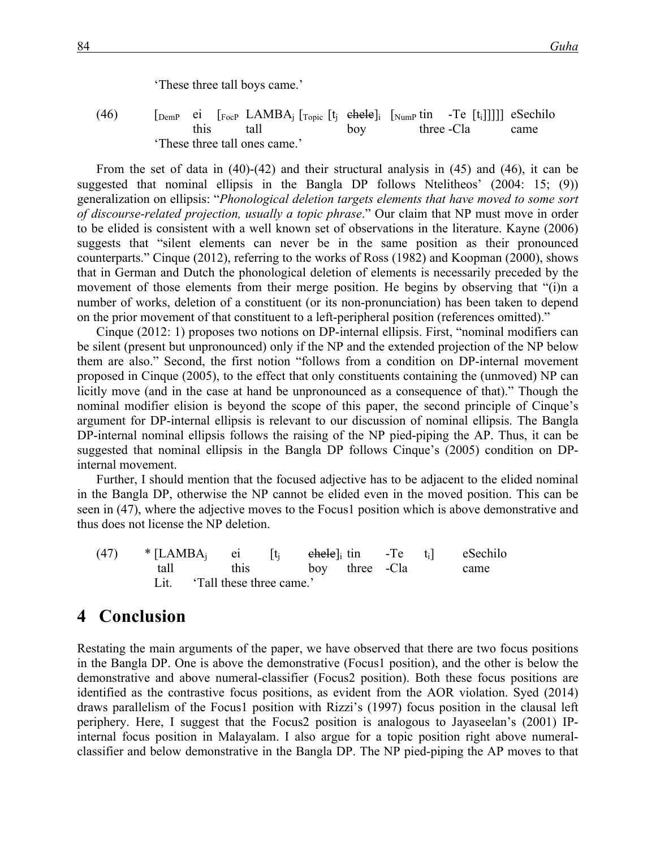'These three tall boys came.'

(46) 
$$
[DemP \text{ ei } [FocP \text{ LAMBA}_j [Topic [t_j \text{ ehele}]_i [NumP \text{ tin } -Te [t_i]]]]]
$$
 eSechilo this tall above three -Cla came'

From the set of data in (40)-(42) and their structural analysis in (45) and (46), it can be suggested that nominal ellipsis in the Bangla DP follows Ntelitheos' (2004: 15; (9)) generalization on ellipsis: "*Phonological deletion targets elements that have moved to some sort of discourse-related projection, usually a topic phrase*." Our claim that NP must move in order to be elided is consistent with a well known set of observations in the literature. Kayne (2006) suggests that "silent elements can never be in the same position as their pronounced counterparts." Cinque (2012), referring to the works of Ross (1982) and Koopman (2000), shows that in German and Dutch the phonological deletion of elements is necessarily preceded by the movement of those elements from their merge position. He begins by observing that "(i)n a number of works, deletion of a constituent (or its non-pronunciation) has been taken to depend on the prior movement of that constituent to a left-peripheral position (references omitted)."

Cinque (2012: 1) proposes two notions on DP-internal ellipsis. First, "nominal modifiers can be silent (present but unpronounced) only if the NP and the extended projection of the NP below them are also." Second, the first notion "follows from a condition on DP-internal movement proposed in Cinque (2005), to the effect that only constituents containing the (unmoved) NP can licitly move (and in the case at hand be unpronounced as a consequence of that)." Though the nominal modifier elision is beyond the scope of this paper, the second principle of Cinque's argument for DP-internal ellipsis is relevant to our discussion of nominal ellipsis. The Bangla DP-internal nominal ellipsis follows the raising of the NP pied-piping the AP. Thus, it can be suggested that nominal ellipsis in the Bangla DP follows Cinque's (2005) condition on DPinternal movement.

Further, I should mention that the focused adjective has to be adjacent to the elided nominal in the Bangla DP, otherwise the NP cannot be elided even in the moved position. This can be seen in (47), where the adjective moves to the Focus1 position which is above demonstrative and thus does not license the NP deletion.

 $(47)$  \* [LAMBA<sub>i</sub> ei [t<sub>i</sub> ehele]<sub>i</sub> tin -Te t<sub>i</sub>] eSechilo tall this boy three -Cla came Lit. 'Tall these three came.'

### 4 **Conclusion**

Restating the main arguments of the paper, we have observed that there are two focus positions in the Bangla DP. One is above the demonstrative (Focus1 position), and the other is below the demonstrative and above numeral-classifier (Focus2 position). Both these focus positions are identified as the contrastive focus positions, as evident from the AOR violation. Syed (2014) draws parallelism of the Focus1 position with Rizzi's (1997) focus position in the clausal left periphery. Here, I suggest that the Focus2 position is analogous to Jayaseelan's (2001) IPinternal focus position in Malayalam. I also argue for a topic position right above numeralclassifier and below demonstrative in the Bangla DP. The NP pied-piping the AP moves to that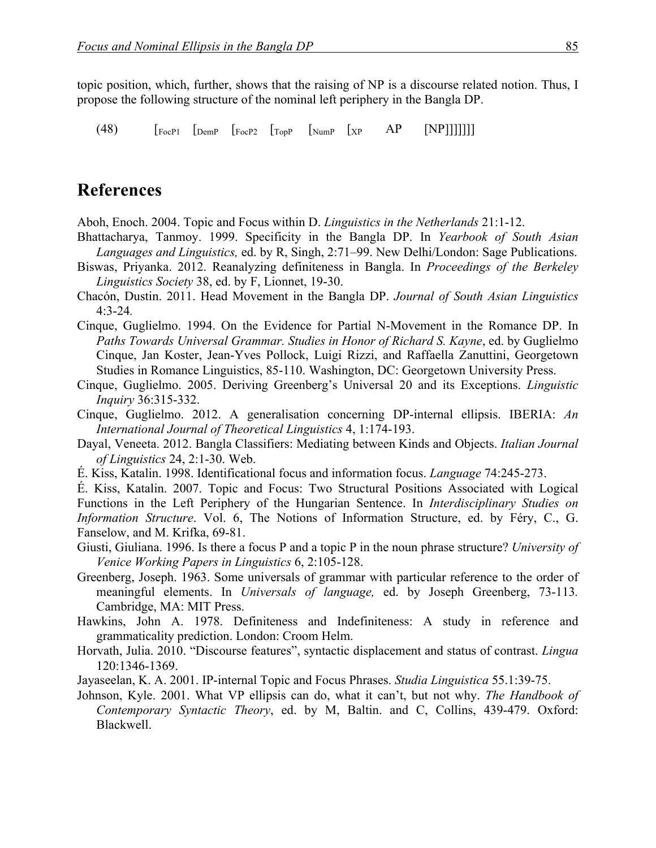topic position, which, further, shows that the raising of NP is a discourse related notion. Thus, I propose the following structure of the nominal left periphery in the Bangla DP.

 $(48)$   $\lbrack$   $\lbrack$   $\lbrack$   $\lbrack$   $\lbrack$   $\lbrack$   $\lbrack$   $\lbrack$   $\lbrack$   $\lbrack$   $\lbrack$   $\lbrack$   $\lbrack$   $\lbrack$   $\lbrack$   $\lbrack$   $\lbrack$   $\lbrack$   $\lbrack$   $\lbrack$   $\lbrack$   $\lbrack$   $\lbrack$   $\lbrack$   $\lbrack$   $\lbrack$   $\lbrack$   $\lbrack$   $\lbrack$   $\lbrack$   $\lbr$ 

### **References**

Aboh, Enoch. 2004. Topic and Focus within D. *Linguistics in the Netherlands* 21:1-12.

- Bhattacharya, Tanmoy. 1999. Specificity in the Bangla DP. In *Yearbook of South Asian Languages and Linguistics,* ed. by R, Singh, 2:71–99. New Delhi/London: Sage Publications.
- Biswas, Priyanka. 2012. Reanalyzing definiteness in Bangla. In *Proceedings of the Berkeley Linguistics Society* 38, ed. by F, Lionnet, 19-30.
- Chacón, Dustin. 2011. Head Movement in the Bangla DP. *Journal of South Asian Linguistics* 4:3-24*.*
- Cinque, Guglielmo. 1994. On the Evidence for Partial N-Movement in the Romance DP. In *Paths Towards Universal Grammar. Studies in Honor of Richard S. Kayne*, ed. by Guglielmo Cinque, Jan Koster, Jean-Yves Pollock, Luigi Rizzi, and Raffaella Zanuttini, Georgetown Studies in Romance Linguistics, 85-110. Washington, DC: Georgetown University Press.
- Cinque, Guglielmo. 2005. Deriving Greenberg's Universal 20 and its Exceptions. *Linguistic Inquiry* 36:315-332.
- Cinque, Guglielmo. 2012. A generalisation concerning DP-internal ellipsis. IBERIA: *An International Journal of Theoretical Linguistics* 4, 1:174-193.
- Dayal, Veneeta. 2012. Bangla Classifiers: Mediating between Kinds and Objects. *Italian Journal of Linguistics* 24, 2:1-30. Web.
- É. Kiss, Katalin. 1998. Identificational focus and information focus. *Language* 74:245-273.

É. Kiss, Katalin. 2007. Topic and Focus: Two Structural Positions Associated with Logical Functions in the Left Periphery of the Hungarian Sentence. In *Interdisciplinary Studies on Information Structure*. Vol. 6, The Notions of Information Structure, ed. by Féry, C., G. Fanselow, and M. Krifka, 69-81.

- Giusti, Giuliana. 1996. Is there a focus P and a topic P in the noun phrase structure? *University of Venice Working Papers in Linguistics* 6, 2:105-128.
- Greenberg, Joseph. 1963. Some universals of grammar with particular reference to the order of meaningful elements. In *Universals of language,* ed. by Joseph Greenberg, 73-113*.*  Cambridge, MA: MIT Press.
- Hawkins, John A. 1978. Definiteness and Indefiniteness: A study in reference and grammaticality prediction. London: Croom Helm.
- Horvath, Julia. 2010. "Discourse features", syntactic displacement and status of contrast. *Lingua* 120:1346-1369.
- Jayaseelan, K. A. 2001. IP-internal Topic and Focus Phrases. *Studia Linguistica* 55.1:39-75.
- Johnson, Kyle. 2001. What VP ellipsis can do, what it can't, but not why. *The Handbook of Contemporary Syntactic Theory*, ed. by M, Baltin. and C, Collins, 439-479. Oxford: Blackwell.